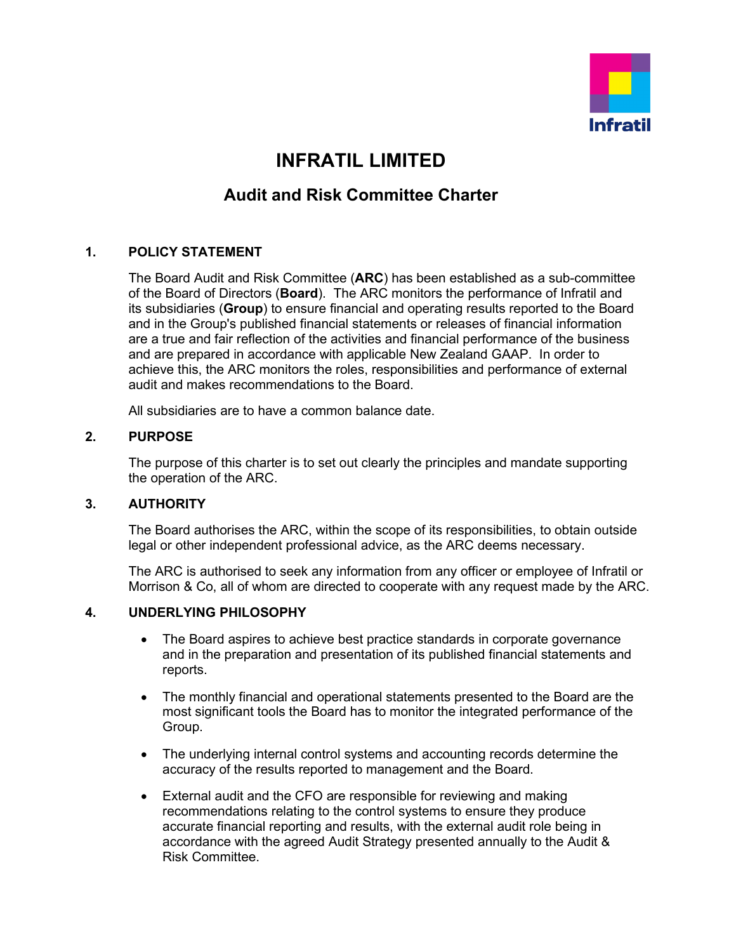

# **INFRATIL LIMITED**

# **Audit and Risk Committee Charter**

# **1. POLICY STATEMENT**

The Board Audit and Risk Committee (**ARC**) has been established as a sub-committee of the Board of Directors (**Board**). The ARC monitors the performance of Infratil and its subsidiaries (**Group**) to ensure financial and operating results reported to the Board and in the Group's published financial statements or releases of financial information are a true and fair reflection of the activities and financial performance of the business and are prepared in accordance with applicable New Zealand GAAP. In order to achieve this, the ARC monitors the roles, responsibilities and performance of external audit and makes recommendations to the Board.

All subsidiaries are to have a common balance date.

# **2. PURPOSE**

The purpose of this charter is to set out clearly the principles and mandate supporting the operation of the ARC.

#### **3. AUTHORITY**

The Board authorises the ARC, within the scope of its responsibilities, to obtain outside legal or other independent professional advice, as the ARC deems necessary.

The ARC is authorised to seek any information from any officer or employee of Infratil or Morrison & Co, all of whom are directed to cooperate with any request made by the ARC.

#### **4. UNDERLYING PHILOSOPHY**

- The Board aspires to achieve best practice standards in corporate governance and in the preparation and presentation of its published financial statements and reports.
- The monthly financial and operational statements presented to the Board are the most significant tools the Board has to monitor the integrated performance of the Group.
- The underlying internal control systems and accounting records determine the accuracy of the results reported to management and the Board.
- External audit and the CFO are responsible for reviewing and making recommendations relating to the control systems to ensure they produce accurate financial reporting and results, with the external audit role being in accordance with the agreed Audit Strategy presented annually to the Audit & Risk Committee.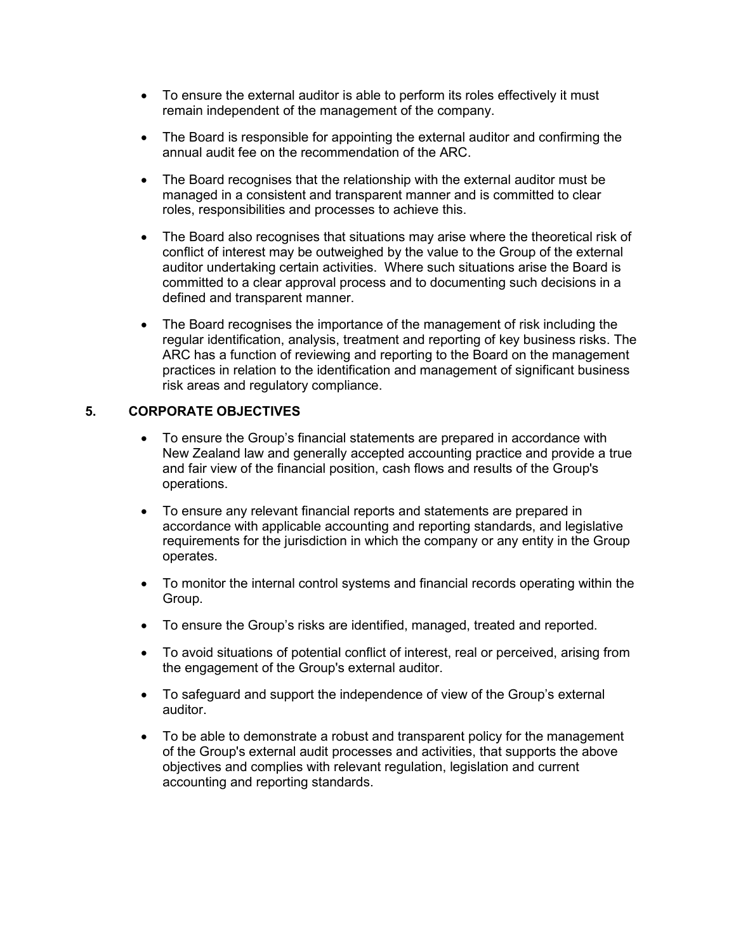- To ensure the external auditor is able to perform its roles effectively it must remain independent of the management of the company.
- The Board is responsible for appointing the external auditor and confirming the annual audit fee on the recommendation of the ARC.
- The Board recognises that the relationship with the external auditor must be managed in a consistent and transparent manner and is committed to clear roles, responsibilities and processes to achieve this.
- The Board also recognises that situations may arise where the theoretical risk of conflict of interest may be outweighed by the value to the Group of the external auditor undertaking certain activities. Where such situations arise the Board is committed to a clear approval process and to documenting such decisions in a defined and transparent manner.
- The Board recognises the importance of the management of risk including the regular identification, analysis, treatment and reporting of key business risks. The ARC has a function of reviewing and reporting to the Board on the management practices in relation to the identification and management of significant business risk areas and regulatory compliance.

#### **5. CORPORATE OBJECTIVES**

- To ensure the Group's financial statements are prepared in accordance with New Zealand law and generally accepted accounting practice and provide a true and fair view of the financial position, cash flows and results of the Group's operations.
- To ensure any relevant financial reports and statements are prepared in accordance with applicable accounting and reporting standards, and legislative requirements for the jurisdiction in which the company or any entity in the Group operates.
- To monitor the internal control systems and financial records operating within the Group.
- To ensure the Group's risks are identified, managed, treated and reported.
- To avoid situations of potential conflict of interest, real or perceived, arising from the engagement of the Group's external auditor.
- To safeguard and support the independence of view of the Group's external auditor.
- To be able to demonstrate a robust and transparent policy for the management of the Group's external audit processes and activities, that supports the above objectives and complies with relevant regulation, legislation and current accounting and reporting standards.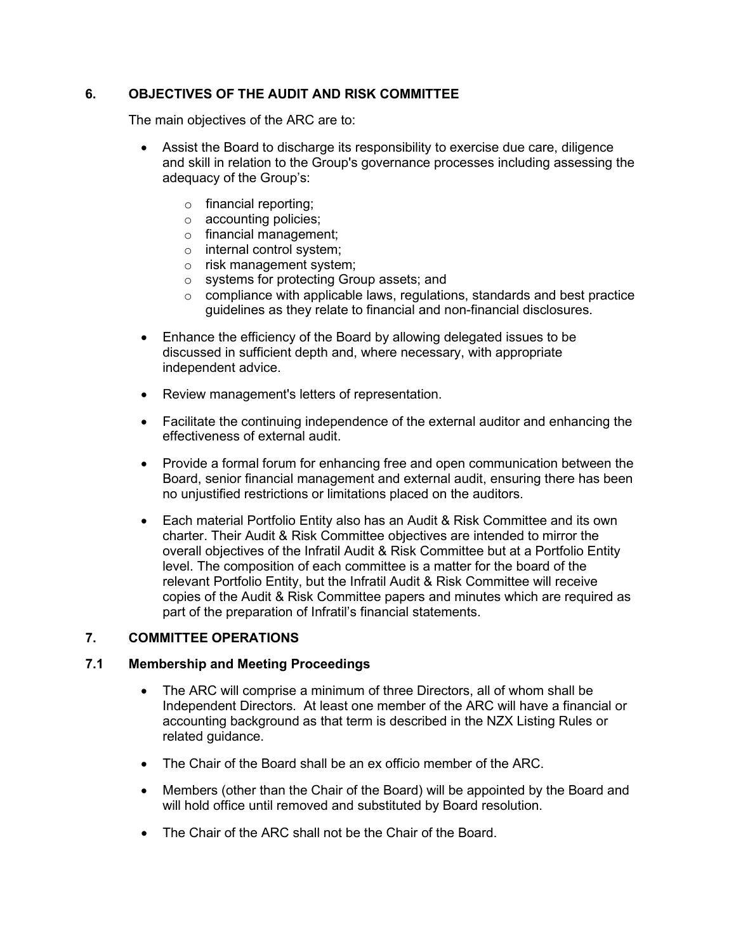# **6. OBJECTIVES OF THE AUDIT AND RISK COMMITTEE**

The main objectives of the ARC are to:

- Assist the Board to discharge its responsibility to exercise due care, diligence and skill in relation to the Group's governance processes including assessing the adequacy of the Group's:
	- o financial reporting;
	- o accounting policies;
	- o financial management;
	- o internal control system;
	- o risk management system;
	- o systems for protecting Group assets; and
	- $\circ$  compliance with applicable laws, regulations, standards and best practice guidelines as they relate to financial and non-financial disclosures.
- Enhance the efficiency of the Board by allowing delegated issues to be discussed in sufficient depth and, where necessary, with appropriate independent advice.
- Review management's letters of representation.
- Facilitate the continuing independence of the external auditor and enhancing the effectiveness of external audit.
- Provide a formal forum for enhancing free and open communication between the Board, senior financial management and external audit, ensuring there has been no unjustified restrictions or limitations placed on the auditors.
- Each material Portfolio Entity also has an Audit & Risk Committee and its own charter. Their Audit & Risk Committee objectives are intended to mirror the overall objectives of the Infratil Audit & Risk Committee but at a Portfolio Entity level. The composition of each committee is a matter for the board of the relevant Portfolio Entity, but the Infratil Audit & Risk Committee will receive copies of the Audit & Risk Committee papers and minutes which are required as part of the preparation of Infratil's financial statements.

# **7. COMMITTEE OPERATIONS**

#### **7.1 Membership and Meeting Proceedings**

- The ARC will comprise a minimum of three Directors, all of whom shall be Independent Directors. At least one member of the ARC will have a financial or accounting background as that term is described in the NZX Listing Rules or related guidance.
- The Chair of the Board shall be an ex officio member of the ARC.
- Members (other than the Chair of the Board) will be appointed by the Board and will hold office until removed and substituted by Board resolution.
- The Chair of the ARC shall not be the Chair of the Board.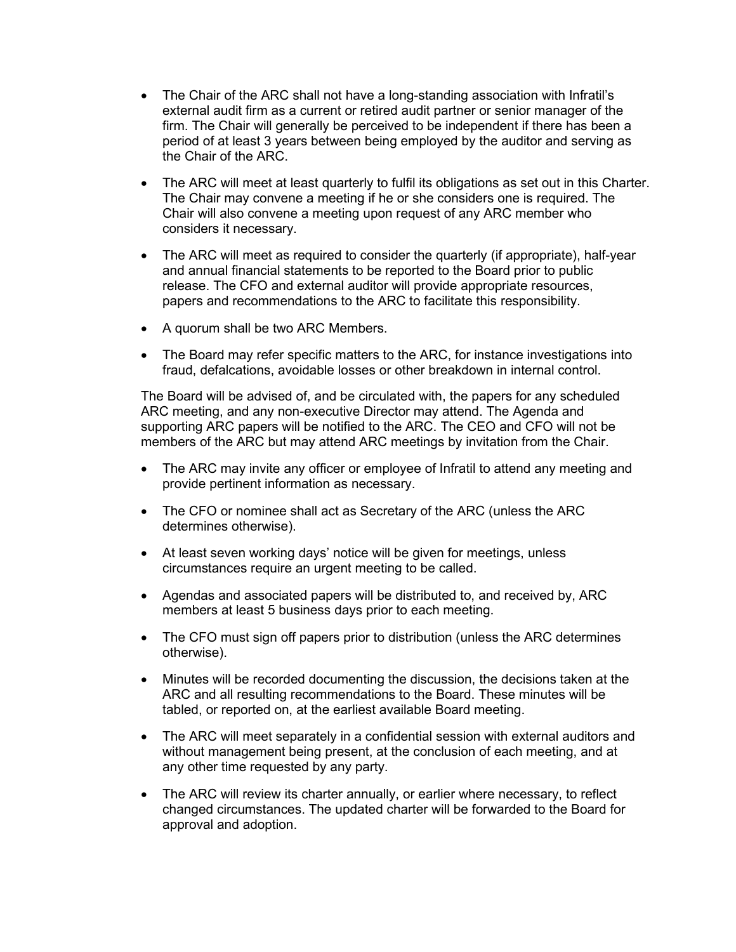- The Chair of the ARC shall not have a long-standing association with Infratil's external audit firm as a current or retired audit partner or senior manager of the firm. The Chair will generally be perceived to be independent if there has been a period of at least 3 years between being employed by the auditor and serving as the Chair of the ARC.
- The ARC will meet at least quarterly to fulfil its obligations as set out in this Charter. The Chair may convene a meeting if he or she considers one is required. The Chair will also convene a meeting upon request of any ARC member who considers it necessary.
- The ARC will meet as required to consider the quarterly (if appropriate), half-year and annual financial statements to be reported to the Board prior to public release. The CFO and external auditor will provide appropriate resources, papers and recommendations to the ARC to facilitate this responsibility.
- A quorum shall be two ARC Members.
- The Board may refer specific matters to the ARC, for instance investigations into fraud, defalcations, avoidable losses or other breakdown in internal control.

The Board will be advised of, and be circulated with, the papers for any scheduled ARC meeting, and any non-executive Director may attend. The Agenda and supporting ARC papers will be notified to the ARC. The CEO and CFO will not be members of the ARC but may attend ARC meetings by invitation from the Chair.

- The ARC may invite any officer or employee of Infratil to attend any meeting and provide pertinent information as necessary.
- The CFO or nominee shall act as Secretary of the ARC (unless the ARC determines otherwise).
- At least seven working days' notice will be given for meetings, unless circumstances require an urgent meeting to be called.
- Agendas and associated papers will be distributed to, and received by, ARC members at least 5 business days prior to each meeting.
- The CFO must sign off papers prior to distribution (unless the ARC determines otherwise).
- Minutes will be recorded documenting the discussion, the decisions taken at the ARC and all resulting recommendations to the Board. These minutes will be tabled, or reported on, at the earliest available Board meeting.
- The ARC will meet separately in a confidential session with external auditors and without management being present, at the conclusion of each meeting, and at any other time requested by any party.
- The ARC will review its charter annually, or earlier where necessary, to reflect changed circumstances. The updated charter will be forwarded to the Board for approval and adoption.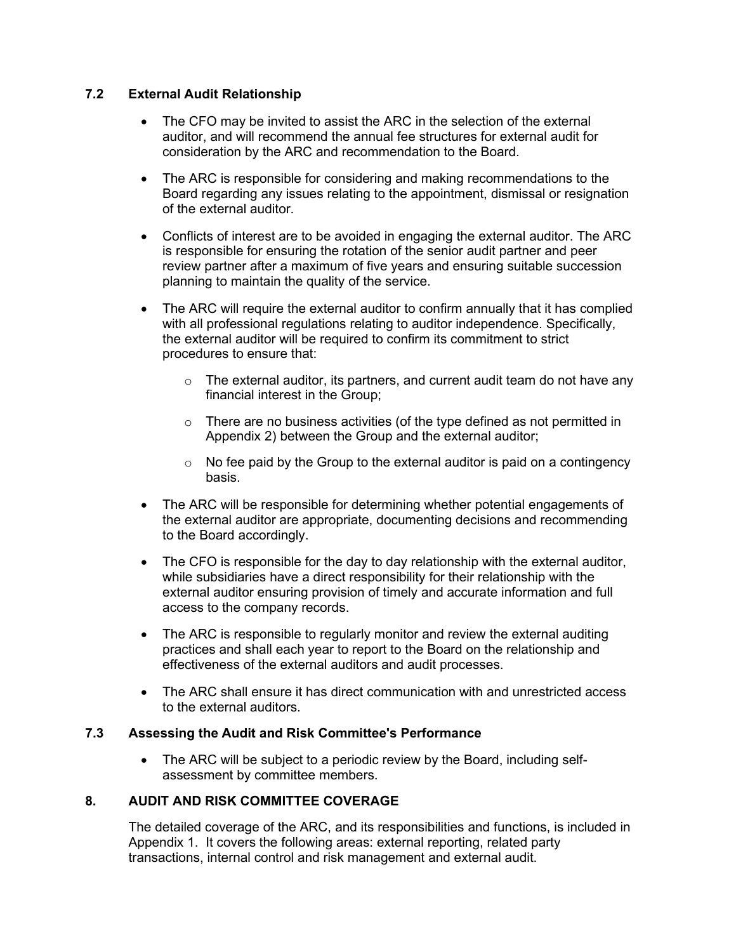#### **7.2 External Audit Relationship**

- The CFO may be invited to assist the ARC in the selection of the external auditor, and will recommend the annual fee structures for external audit for consideration by the ARC and recommendation to the Board.
- The ARC is responsible for considering and making recommendations to the Board regarding any issues relating to the appointment, dismissal or resignation of the external auditor.
- Conflicts of interest are to be avoided in engaging the external auditor. The ARC is responsible for ensuring the rotation of the senior audit partner and peer review partner after a maximum of five years and ensuring suitable succession planning to maintain the quality of the service.
- The ARC will require the external auditor to confirm annually that it has complied with all professional regulations relating to auditor independence. Specifically, the external auditor will be required to confirm its commitment to strict procedures to ensure that:
	- $\circ$  The external auditor, its partners, and current audit team do not have any financial interest in the Group;
	- $\circ$  There are no business activities (of the type defined as not permitted in Appendix 2) between the Group and the external auditor;
	- $\circ$  No fee paid by the Group to the external auditor is paid on a contingency basis.
- The ARC will be responsible for determining whether potential engagements of the external auditor are appropriate, documenting decisions and recommending to the Board accordingly.
- The CFO is responsible for the day to day relationship with the external auditor, while subsidiaries have a direct responsibility for their relationship with the external auditor ensuring provision of timely and accurate information and full access to the company records.
- The ARC is responsible to regularly monitor and review the external auditing practices and shall each year to report to the Board on the relationship and effectiveness of the external auditors and audit processes.
- The ARC shall ensure it has direct communication with and unrestricted access to the external auditors.

# **7.3 Assessing the Audit and Risk Committee's Performance**

• The ARC will be subject to a periodic review by the Board, including selfassessment by committee members.

# **8. AUDIT AND RISK COMMITTEE COVERAGE**

The detailed coverage of the ARC, and its responsibilities and functions, is included in Appendix 1. It covers the following areas: external reporting, related party transactions, internal control and risk management and external audit.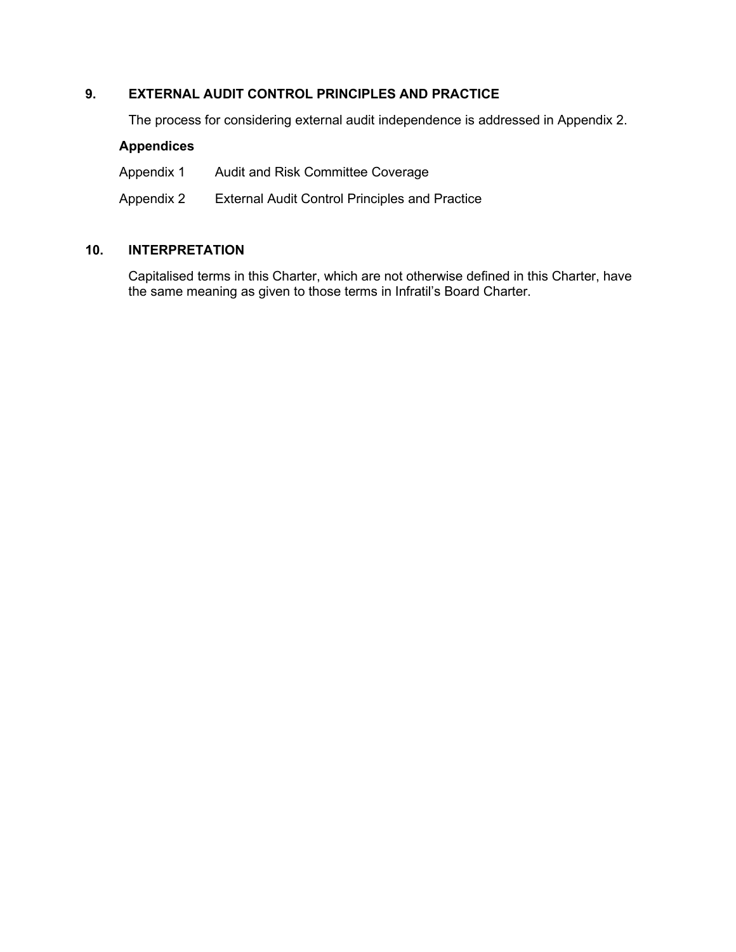# **9. EXTERNAL AUDIT CONTROL PRINCIPLES AND PRACTICE**

The process for considering external audit independence is addressed in Appendix 2.

#### **Appendices**

| Appendix 1 | Audit and Risk Committee Coverage                     |
|------------|-------------------------------------------------------|
| Appendix 2 | <b>External Audit Control Principles and Practice</b> |

# **10. INTERPRETATION**

Capitalised terms in this Charter, which are not otherwise defined in this Charter, have the same meaning as given to those terms in Infratil's Board Charter.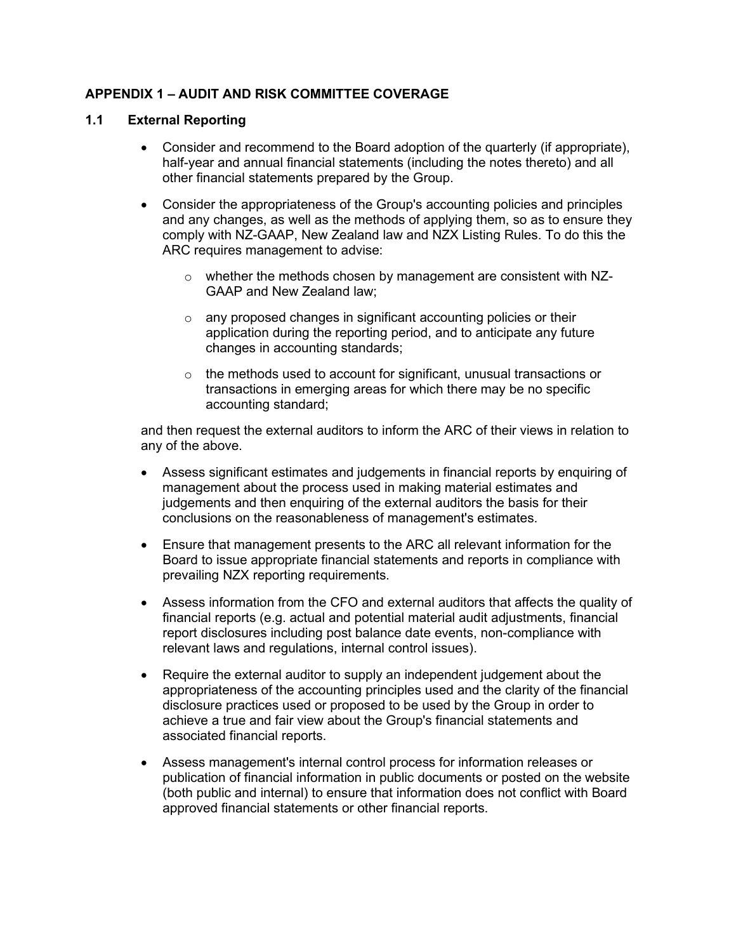# **APPENDIX 1 – AUDIT AND RISK COMMITTEE COVERAGE**

#### **1.1 External Reporting**

- Consider and recommend to the Board adoption of the quarterly (if appropriate), half-year and annual financial statements (including the notes thereto) and all other financial statements prepared by the Group.
- Consider the appropriateness of the Group's accounting policies and principles and any changes, as well as the methods of applying them, so as to ensure they comply with NZ-GAAP, New Zealand law and NZX Listing Rules. To do this the ARC requires management to advise:
	- o whether the methods chosen by management are consistent with NZ-GAAP and New Zealand law;
	- o any proposed changes in significant accounting policies or their application during the reporting period, and to anticipate any future changes in accounting standards;
	- $\circ$  the methods used to account for significant, unusual transactions or transactions in emerging areas for which there may be no specific accounting standard;

and then request the external auditors to inform the ARC of their views in relation to any of the above.

- Assess significant estimates and judgements in financial reports by enquiring of management about the process used in making material estimates and judgements and then enquiring of the external auditors the basis for their conclusions on the reasonableness of management's estimates.
- Ensure that management presents to the ARC all relevant information for the Board to issue appropriate financial statements and reports in compliance with prevailing NZX reporting requirements.
- Assess information from the CFO and external auditors that affects the quality of financial reports (e.g. actual and potential material audit adjustments, financial report disclosures including post balance date events, non-compliance with relevant laws and regulations, internal control issues).
- Require the external auditor to supply an independent judgement about the appropriateness of the accounting principles used and the clarity of the financial disclosure practices used or proposed to be used by the Group in order to achieve a true and fair view about the Group's financial statements and associated financial reports.
- Assess management's internal control process for information releases or publication of financial information in public documents or posted on the website (both public and internal) to ensure that information does not conflict with Board approved financial statements or other financial reports.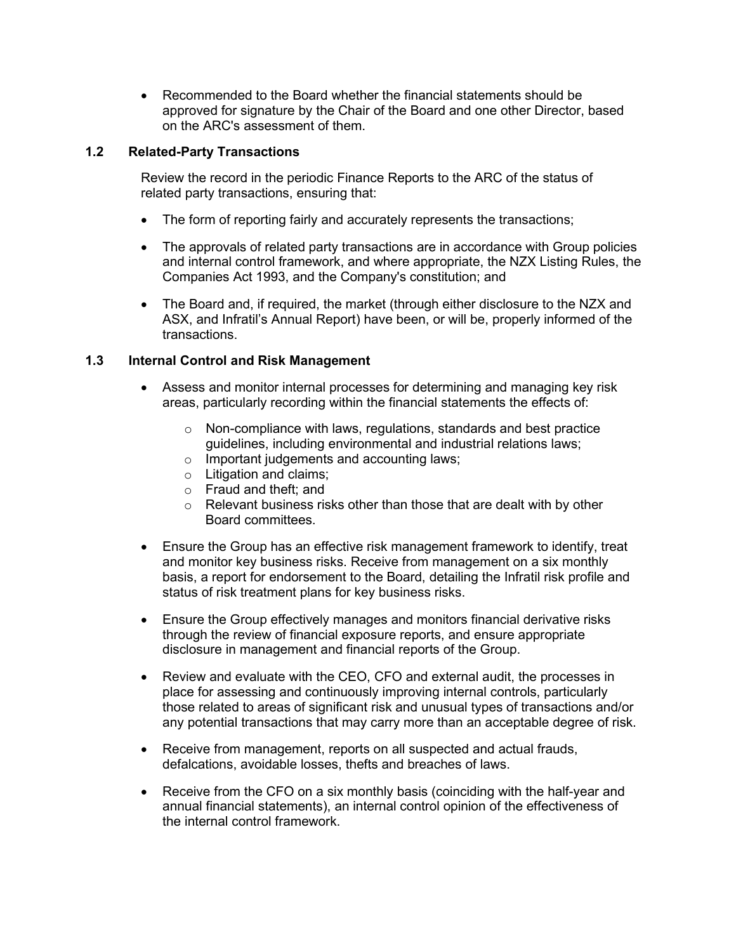• Recommended to the Board whether the financial statements should be approved for signature by the Chair of the Board and one other Director, based on the ARC's assessment of them.

#### **1.2 Related-Party Transactions**

Review the record in the periodic Finance Reports to the ARC of the status of related party transactions, ensuring that:

- The form of reporting fairly and accurately represents the transactions;
- The approvals of related party transactions are in accordance with Group policies and internal control framework, and where appropriate, the NZX Listing Rules, the Companies Act 1993, and the Company's constitution; and
- The Board and, if required, the market (through either disclosure to the NZX and ASX, and Infratil's Annual Report) have been, or will be, properly informed of the transactions.

#### **1.3 Internal Control and Risk Management**

- Assess and monitor internal processes for determining and managing key risk areas, particularly recording within the financial statements the effects of:
	- $\circ$  Non-compliance with laws, regulations, standards and best practice guidelines, including environmental and industrial relations laws;
	- o Important judgements and accounting laws;
	- o Litigation and claims;
	- o Fraud and theft; and
	- $\circ$  Relevant business risks other than those that are dealt with by other Board committees.
- Ensure the Group has an effective risk management framework to identify, treat and monitor key business risks. Receive from management on a six monthly basis, a report for endorsement to the Board, detailing the Infratil risk profile and status of risk treatment plans for key business risks.
- Ensure the Group effectively manages and monitors financial derivative risks through the review of financial exposure reports, and ensure appropriate disclosure in management and financial reports of the Group.
- Review and evaluate with the CEO, CFO and external audit, the processes in place for assessing and continuously improving internal controls, particularly those related to areas of significant risk and unusual types of transactions and/or any potential transactions that may carry more than an acceptable degree of risk.
- Receive from management, reports on all suspected and actual frauds, defalcations, avoidable losses, thefts and breaches of laws.
- Receive from the CFO on a six monthly basis (coinciding with the half-year and annual financial statements), an internal control opinion of the effectiveness of the internal control framework.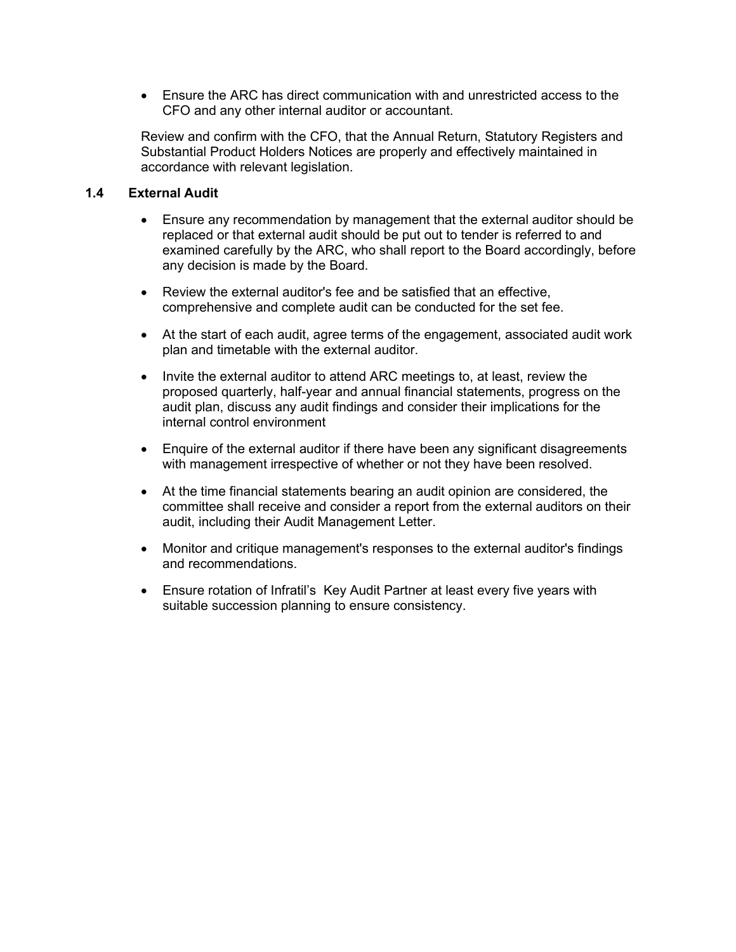• Ensure the ARC has direct communication with and unrestricted access to the CFO and any other internal auditor or accountant.

Review and confirm with the CFO, that the Annual Return, Statutory Registers and Substantial Product Holders Notices are properly and effectively maintained in accordance with relevant legislation.

#### **1.4 External Audit**

- Ensure any recommendation by management that the external auditor should be replaced or that external audit should be put out to tender is referred to and examined carefully by the ARC, who shall report to the Board accordingly, before any decision is made by the Board.
- Review the external auditor's fee and be satisfied that an effective, comprehensive and complete audit can be conducted for the set fee.
- At the start of each audit, agree terms of the engagement, associated audit work plan and timetable with the external auditor.
- Invite the external auditor to attend ARC meetings to, at least, review the proposed quarterly, half-year and annual financial statements, progress on the audit plan, discuss any audit findings and consider their implications for the internal control environment
- Enquire of the external auditor if there have been any significant disagreements with management irrespective of whether or not they have been resolved.
- At the time financial statements bearing an audit opinion are considered, the committee shall receive and consider a report from the external auditors on their audit, including their Audit Management Letter.
- Monitor and critique management's responses to the external auditor's findings and recommendations.
- Ensure rotation of Infratil's Key Audit Partner at least every five years with suitable succession planning to ensure consistency.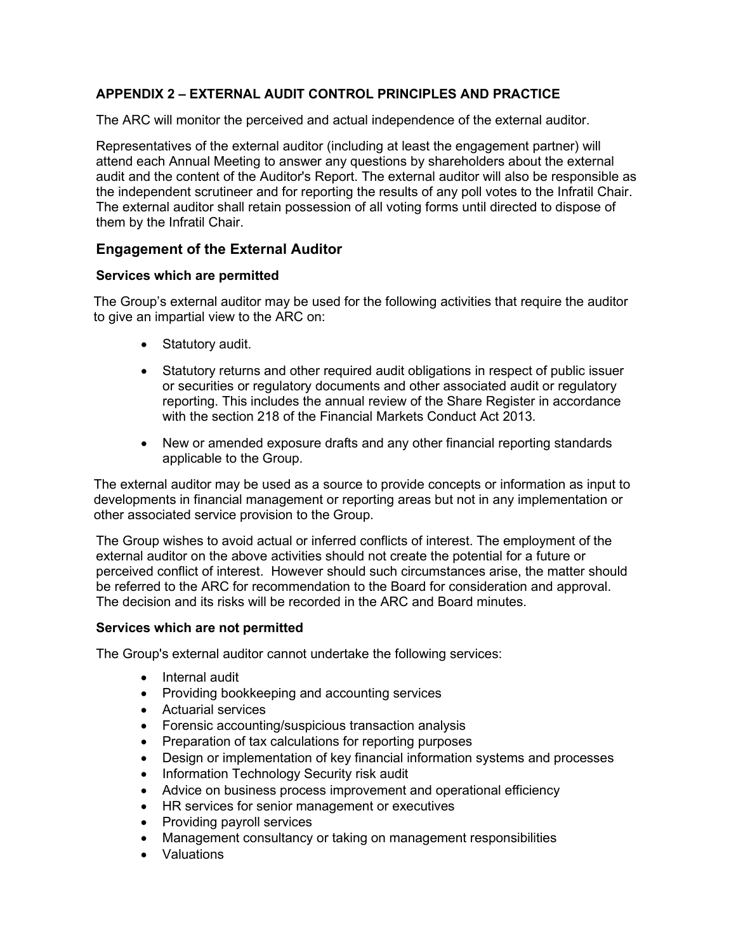# **APPENDIX 2 – EXTERNAL AUDIT CONTROL PRINCIPLES AND PRACTICE**

The ARC will monitor the perceived and actual independence of the external auditor.

Representatives of the external auditor (including at least the engagement partner) will attend each Annual Meeting to answer any questions by shareholders about the external audit and the content of the Auditor's Report. The external auditor will also be responsible as the independent scrutineer and for reporting the results of any poll votes to the Infratil Chair. The external auditor shall retain possession of all voting forms until directed to dispose of them by the Infratil Chair.

# **Engagement of the External Auditor**

#### **Services which are permitted**

The Group's external auditor may be used for the following activities that require the auditor to give an impartial view to the ARC on:

- Statutory audit.
- Statutory returns and other required audit obligations in respect of public issuer or securities or regulatory documents and other associated audit or regulatory reporting. This includes the annual review of the Share Register in accordance with the section 218 of the Financial Markets Conduct Act 2013.
- New or amended exposure drafts and any other financial reporting standards applicable to the Group.

The external auditor may be used as a source to provide concepts or information as input to developments in financial management or reporting areas but not in any implementation or other associated service provision to the Group.

The Group wishes to avoid actual or inferred conflicts of interest. The employment of the external auditor on the above activities should not create the potential for a future or perceived conflict of interest. However should such circumstances arise, the matter should be referred to the ARC for recommendation to the Board for consideration and approval. The decision and its risks will be recorded in the ARC and Board minutes.

#### **Services which are not permitted**

The Group's external auditor cannot undertake the following services:

- Internal audit
- Providing bookkeeping and accounting services
- Actuarial services
- Forensic accounting/suspicious transaction analysis
- Preparation of tax calculations for reporting purposes
- Design or implementation of key financial information systems and processes
- Information Technology Security risk audit
- Advice on business process improvement and operational efficiency
- HR services for senior management or executives
- Providing payroll services
- Management consultancy or taking on management responsibilities
- Valuations